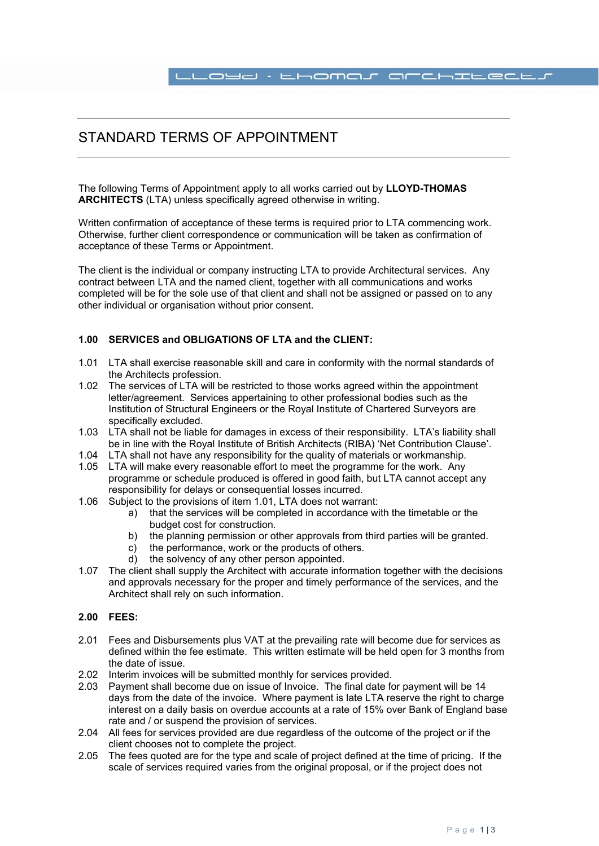# STANDARD TERMS OF APPOINTMENT

The following Terms of Appointment apply to all works carried out by **LLOYD-THOMAS ARCHITECTS** (LTA) unless specifically agreed otherwise in writing.

Written confirmation of acceptance of these terms is required prior to LTA commencing work. Otherwise, further client correspondence or communication will be taken as confirmation of acceptance of these Terms or Appointment.

The client is the individual or company instructing LTA to provide Architectural services. Any contract between LTA and the named client, together with all communications and works completed will be for the sole use of that client and shall not be assigned or passed on to any other individual or organisation without prior consent.

## **1.00 SERVICES and OBLIGATIONS OF LTA and the CLIENT:**

- 1.01 LTA shall exercise reasonable skill and care in conformity with the normal standards of the Architects profession.
- 1.02 The services of LTA will be restricted to those works agreed within the appointment letter/agreement. Services appertaining to other professional bodies such as the Institution of Structural Engineers or the Royal Institute of Chartered Surveyors are specifically excluded.
- 1.03 LTA shall not be liable for damages in excess of their responsibility. LTA's liability shall be in line with the Royal Institute of British Architects (RIBA) 'Net Contribution Clause'.
- 1.04 LTA shall not have any responsibility for the quality of materials or workmanship.
- 1.05 LTA will make every reasonable effort to meet the programme for the work. Any programme or schedule produced is offered in good faith, but LTA cannot accept any responsibility for delays or consequential losses incurred.
- 1.06 Subject to the provisions of item 1.01, LTA does not warrant:
	- a) that the services will be completed in accordance with the timetable or the budget cost for construction.
	- b) the planning permission or other approvals from third parties will be granted.
	- c) the performance, work or the products of others.
	- d) the solvency of any other person appointed.
- 1.07 The client shall supply the Architect with accurate information together with the decisions and approvals necessary for the proper and timely performance of the services, and the Architect shall rely on such information.

## **2.00 FEES:**

- 2.01 Fees and Disbursements plus VAT at the prevailing rate will become due for services as defined within the fee estimate. This written estimate will be held open for 3 months from the date of issue.
- 2.02 Interim invoices will be submitted monthly for services provided.
- 2.03 Payment shall become due on issue of Invoice. The final date for payment will be 14 days from the date of the invoice. Where payment is late LTA reserve the right to charge interest on a daily basis on overdue accounts at a rate of 15% over Bank of England base rate and / or suspend the provision of services.
- 2.04 All fees for services provided are due regardless of the outcome of the project or if the client chooses not to complete the project.
- 2.05 The fees quoted are for the type and scale of project defined at the time of pricing. If the scale of services required varies from the original proposal, or if the project does not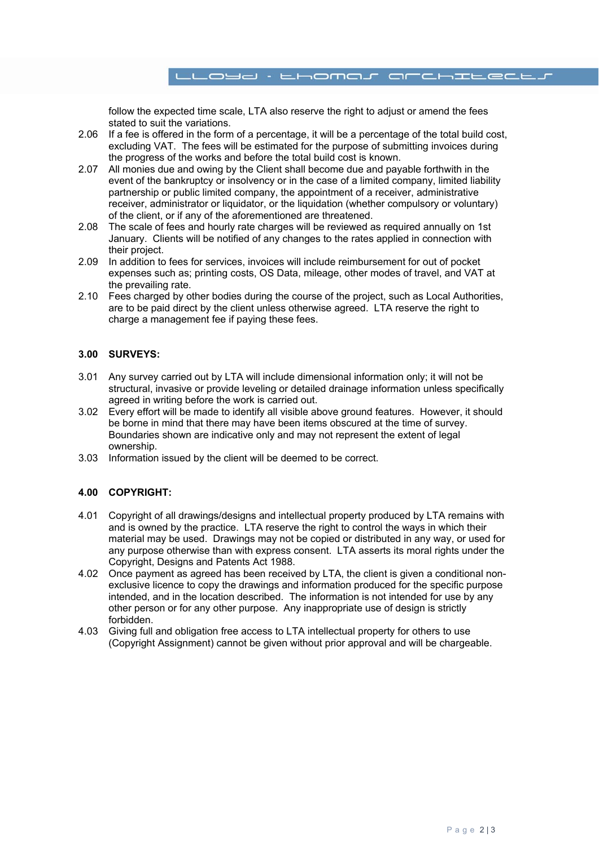

follow the expected time scale, LTA also reserve the right to adjust or amend the fees stated to suit the variations.

- 2.06 If a fee is offered in the form of a percentage, it will be a percentage of the total build cost, excluding VAT. The fees will be estimated for the purpose of submitting invoices during the progress of the works and before the total build cost is known.
- 2.07 All monies due and owing by the Client shall become due and payable forthwith in the event of the bankruptcy or insolvency or in the case of a limited company, limited liability partnership or public limited company, the appointment of a receiver, administrative receiver, administrator or liquidator, or the liquidation (whether compulsory or voluntary) of the client, or if any of the aforementioned are threatened.
- 2.08 The scale of fees and hourly rate charges will be reviewed as required annually on 1st January. Clients will be notified of any changes to the rates applied in connection with their project.
- 2.09 In addition to fees for services, invoices will include reimbursement for out of pocket expenses such as; printing costs, OS Data, mileage, other modes of travel, and VAT at the prevailing rate.
- 2.10 Fees charged by other bodies during the course of the project, such as Local Authorities, are to be paid direct by the client unless otherwise agreed. LTA reserve the right to charge a management fee if paying these fees.

## **3.00 SURVEYS:**

- 3.01 Any survey carried out by LTA will include dimensional information only; it will not be structural, invasive or provide leveling or detailed drainage information unless specifically agreed in writing before the work is carried out.
- 3.02 Every effort will be made to identify all visible above ground features. However, it should be borne in mind that there may have been items obscured at the time of survey. Boundaries shown are indicative only and may not represent the extent of legal ownership.
- 3.03 Information issued by the client will be deemed to be correct.

## **4.00 COPYRIGHT:**

- 4.01 Copyright of all drawings/designs and intellectual property produced by LTA remains with and is owned by the practice. LTA reserve the right to control the ways in which their material may be used. Drawings may not be copied or distributed in any way, or used for any purpose otherwise than with express consent. LTA asserts its moral rights under the Copyright, Designs and Patents Act 1988.
- 4.02 Once payment as agreed has been received by LTA, the client is given a conditional nonexclusive licence to copy the drawings and information produced for the specific purpose intended, and in the location described. The information is not intended for use by any other person or for any other purpose. Any inappropriate use of design is strictly forbidden.
- 4.03 Giving full and obligation free access to LTA intellectual property for others to use (Copyright Assignment) cannot be given without prior approval and will be chargeable.